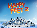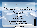#### **Wow ..**

**Original** & **sustainable** way to create **media exposure** before, and especially during the **HF2 premiere** (direct & live)

> **Create loyalty** Let fans get involved

**Access to people's network** Let fans spread the word

Offline = Online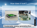## How does it look?

### Sustainable, energy generating floor ..

O.<br>ا ق ¨©**V.**  $\sum$ 1OGI 1 ¨© $\boldsymbol{\mathsf{N}}$ <u>ි</u>  $\overline{\phantom{0}}$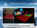## How does it look ?



….like a red carpet (and/or quickly rebuild as dancefloor)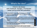# What's the idea?

Check in (& share) with Facebook, Google+, Foursquare (when you're at the HF2 premiere)

- On a big (digital) screen people can see a counter/ teller displaying the energy generated by walking over the red carpet (by actors, etc)
- When it reaches the maximum (100%) a random name from all the people whom 'checked in' is picked and shown on the big screen ..
- .. and that person is allowed to be present at the film premiere! (and walk over the red carpet, ofcourse)

Connecting (live) event with social media

.<br>ا ق ¨©¨©**V.**  $\sum_{i=1}^n$ 1OGI 1  $\boldsymbol{\mathsf{N}}$ <u>ි</u>  $\overline{\phantom{0}}$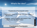## What's the idea?

#### Facebook & Foursquare extra

• Foursquare: unique HF2 badge when fans check-in at the premiere.

• Facebook: create an event to alert people in their network about the HF2 premiere.

### Facebook & Foursquare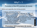# Why? – 1

### Promotion of the HF2 premiere (& movie)

Before and especially (live) during premiere

- Energy generating red carpet During the premiere stars walk over the red carpet After it can be used as dancefloor for the after party During opening week it can create a buzz. Give people the opportunity to expercience the redcarpet and gain more energy (par example donate amount of energy for a good cause)  $\overline{\phantom{0}}$  $\overline{\phantom{0}}$
- Create loyalty among fans and visitors
- Access to social network(s)

## Promotion HF2 premiere (& movie)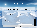# Why?  $-2$

### Media exposure / free publicity

- Unique images of journalists / interviewers & actors (celebrities) on the red carpet.
- A lot of media attention in magazines, on TV & radio
- Spread through social media / Internet (virals, etc)

**Media** 

O.<br>ا ق ¨©**V**  $\sum_{i=1}^n$ 1OGI 1 ¨© $\boldsymbol{\mathsf{N}}$ <u>ි</u>  $\overline{\phantom{0}}$